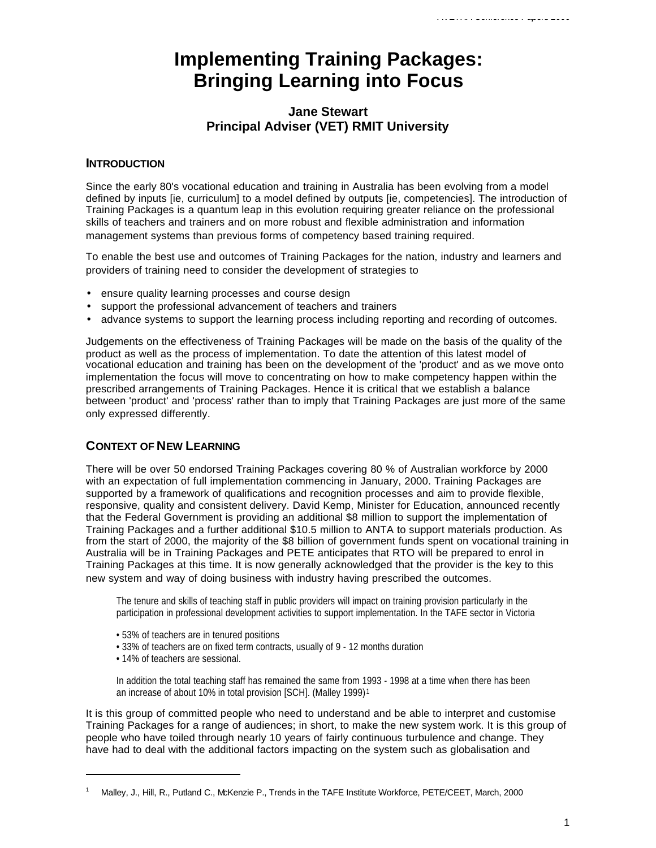# **Implementing Training Packages: Bringing Learning into Focus**

## **Jane Stewart Principal Adviser (VET) RMIT University**

#### **INTRODUCTION**

Since the early 80's vocational education and training in Australia has been evolving from a model defined by inputs [ie, curriculum] to a model defined by outputs [ie, competencies]. The introduction of Training Packages is a quantum leap in this evolution requiring greater reliance on the professional skills of teachers and trainers and on more robust and flexible administration and information management systems than previous forms of competency based training required.

To enable the best use and outcomes of Training Packages for the nation, industry and learners and providers of training need to consider the development of strategies to

- ensure quality learning processes and course design
- support the professional advancement of teachers and trainers
- advance systems to support the learning process including reporting and recording of outcomes.

Judgements on the effectiveness of Training Packages will be made on the basis of the quality of the product as well as the process of implementation. To date the attention of this latest model of vocational education and training has been on the development of the 'product' and as we move onto implementation the focus will move to concentrating on how to make competency happen within the prescribed arrangements of Training Packages. Hence it is critical that we establish a balance between 'product' and 'process' rather than to imply that Training Packages are just more of the same only expressed differently.

### **CONTEXT OF NEW LEARNING**

There will be over 50 endorsed Training Packages covering 80 % of Australian workforce by 2000 with an expectation of full implementation commencing in January, 2000. Training Packages are supported by a framework of qualifications and recognition processes and aim to provide flexible, responsive, quality and consistent delivery. David Kemp, Minister for Education, announced recently that the Federal Government is providing an additional \$8 million to support the implementation of Training Packages and a further additional \$10.5 million to ANTA to support materials production. As from the start of 2000, the majority of the \$8 billion of government funds spent on vocational training in Australia will be in Training Packages and PETE anticipates that RTO will be prepared to enrol in Training Packages at this time. It is now generally acknowledged that the provider is the key to this new system and way of doing business with industry having prescribed the outcomes.

The tenure and skills of teaching staff in public providers will impact on training provision particularly in the participation in professional development activities to support implementation. In the TAFE sector in Victoria

- 53% of teachers are in tenured positions
- 33% of teachers are on fixed term contracts, usually of 9 12 months duration
- 14% of teachers are sessional.

In addition the total teaching staff has remained the same from 1993 - 1998 at a time when there has been an increase of about 10% in total provision [SCH]. (Malley 1999) <sup>1</sup>

It is this group of committed people who need to understand and be able to interpret and customise Training Packages for a range of audiences; in short, to make the new system work. It is this group of people who have toiled through nearly 10 years of fairly continuous turbulence and change. They have had to deal with the additional factors impacting on the system such as globalisation and

<sup>1</sup> Malley, J., Hill, R., Putland C., McKenzie P., Trends in the TAFE Institute Workforce, PETE/CEET, March, 2000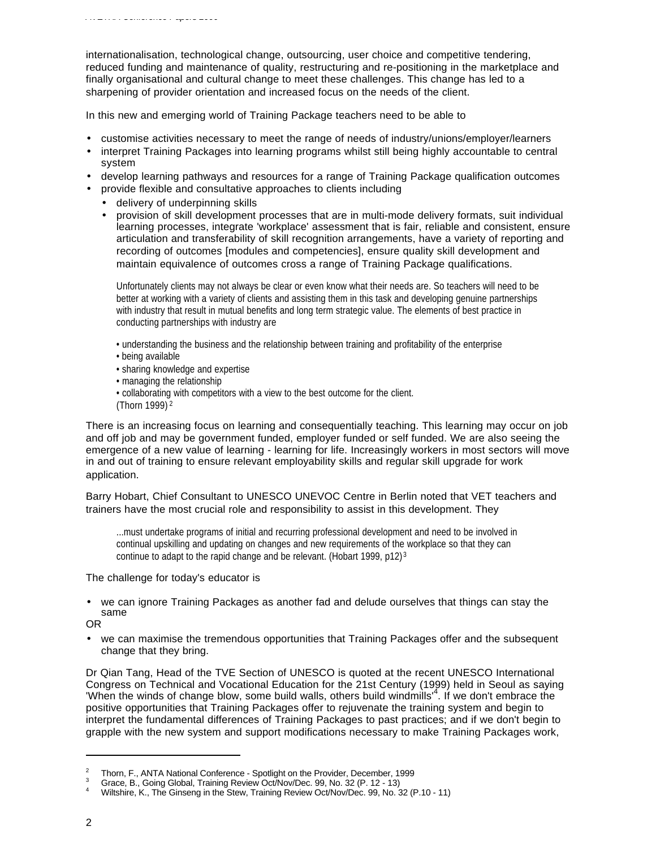internationalisation, technological change, outsourcing, user choice and competitive tendering, reduced funding and maintenance of quality, restructuring and re-positioning in the marketplace and finally organisational and cultural change to meet these challenges. This change has led to a sharpening of provider orientation and increased focus on the needs of the client.

In this new and emerging world of Training Package teachers need to be able to

- customise activities necessary to meet the range of needs of industry/unions/employer/learners
- interpret Training Packages into learning programs whilst still being highly accountable to central system
- develop learning pathways and resources for a range of Training Package qualification outcomes
- provide flexible and consultative approaches to clients including
	- delivery of underpinning skills
	- provision of skill development processes that are in multi-mode delivery formats, suit individual learning processes, integrate 'workplace' assessment that is fair, reliable and consistent, ensure articulation and transferability of skill recognition arrangements, have a variety of reporting and recording of outcomes [modules and competencies], ensure quality skill development and maintain equivalence of outcomes cross a range of Training Package qualifications.

Unfortunately clients may not always be clear or even know what their needs are. So teachers will need to be better at working with a variety of clients and assisting them in this task and developing genuine partnerships with industry that result in mutual benefits and long term strategic value. The elements of best practice in conducting partnerships with industry are

- understanding the business and the relationship between training and profitability of the enterprise
- being available
- sharing knowledge and expertise
- managing the relationship
- collaborating with competitors with a view to the best outcome for the client.
- (Thorn 1999) <sup>2</sup>

There is an increasing focus on learning and consequentially teaching. This learning may occur on job and off job and may be government funded, employer funded or self funded. We are also seeing the emergence of a new value of learning - learning for life. Increasingly workers in most sectors will move in and out of training to ensure relevant employability skills and regular skill upgrade for work application.

Barry Hobart, Chief Consultant to UNESCO UNEVOC Centre in Berlin noted that VET teachers and trainers have the most crucial role and responsibility to assist in this development. They

...must undertake programs of initial and recurring professional development and need to be involved in continual upskilling and updating on changes and new requirements of the workplace so that they can continue to adapt to the rapid change and be relevant. (Hobart 1999, p12) <sup>3</sup>

The challenge for today's educator is

• we can ignore Training Packages as another fad and delude ourselves that things can stay the same

OR

• we can maximise the tremendous opportunities that Training Packages offer and the subsequent change that they bring.

Dr Qian Tang, Head of the TVE Section of UNESCO is quoted at the recent UNESCO International Congress on Technical and Vocational Education for the 21st Century (1999) held in Seoul as saying 'When the winds of change blow, some build walls, others build windmills'<sup>4</sup> . If we don't embrace the positive opportunities that Training Packages offer to rejuvenate the training system and begin to interpret the fundamental differences of Training Packages to past practices; and if we don't begin to grapple with the new system and support modifications necessary to make Training Packages work,

<sup>&</sup>lt;sup>2</sup> Thorn, F., ANTA National Conference - Spotlight on the Provider, December, 1999

 $3$  Grace, B., Going Global, Training Review Oct/Nov/Dec. 99, No. 32 (P. 12 - 13)

<sup>4</sup> Wiltshire, K., The Ginseng in the Stew, Training Review Oct/Nov/Dec. 99, No. 32 (P.10 - 11)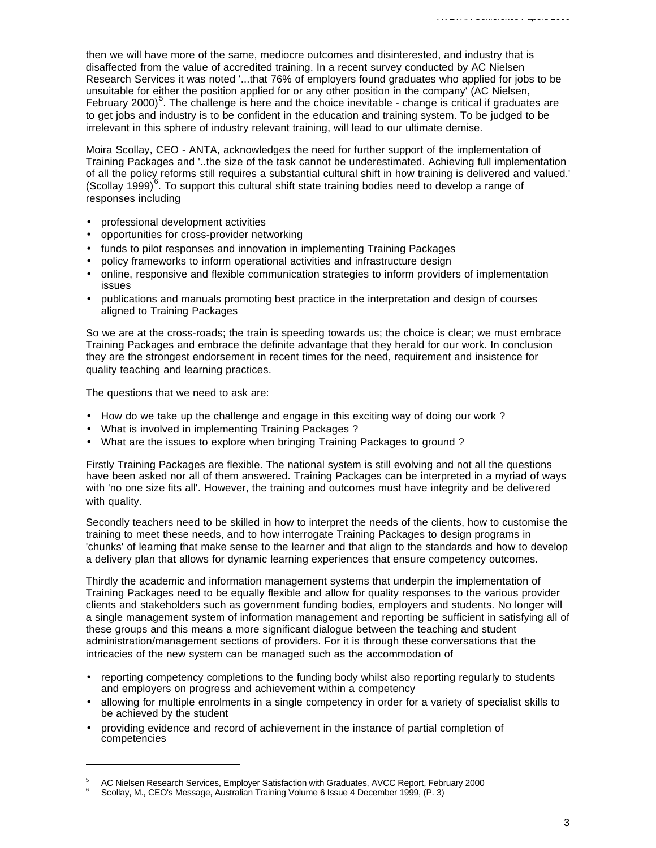then we will have more of the same, mediocre outcomes and disinterested, and industry that is disaffected from the value of accredited training. In a recent survey conducted by AC Nielsen Research Services it was noted '...that 76% of employers found graduates who applied for jobs to be unsuitable for either the position applied for or any other position in the company' (AC Nielsen, February 2000)<sup>5</sup>. The challenge is here and the choice inevitable - change is critical if graduates are to get jobs and industry is to be confident in the education and training system. To be judged to be irrelevant in this sphere of industry relevant training, will lead to our ultimate demise.

Moira Scollay, CEO - ANTA, acknowledges the need for further support of the implementation of Training Packages and '..the size of the task cannot be underestimated. Achieving full implementation of all the policy reforms still requires a substantial cultural shift in how training is delivered and valued.' (Scollay 1999)<sup>6</sup>. To support this cultural shift state training bodies need to develop a range of responses including

- professional development activities
- opportunities for cross-provider networking
- funds to pilot responses and innovation in implementing Training Packages
- policy frameworks to inform operational activities and infrastructure design
- online, responsive and flexible communication strategies to inform providers of implementation issues
- publications and manuals promoting best practice in the interpretation and design of courses aligned to Training Packages

So we are at the cross-roads; the train is speeding towards us; the choice is clear; we must embrace Training Packages and embrace the definite advantage that they herald for our work. In conclusion they are the strongest endorsement in recent times for the need, requirement and insistence for quality teaching and learning practices.

The questions that we need to ask are:

- How do we take up the challenge and engage in this exciting way of doing our work ?
- What is involved in implementing Training Packages ?
- What are the issues to explore when bringing Training Packages to ground ?

Firstly Training Packages are flexible. The national system is still evolving and not all the questions have been asked nor all of them answered. Training Packages can be interpreted in a myriad of ways with 'no one size fits all'. However, the training and outcomes must have integrity and be delivered with quality.

Secondly teachers need to be skilled in how to interpret the needs of the clients, how to customise the training to meet these needs, and to how interrogate Training Packages to design programs in 'chunks' of learning that make sense to the learner and that align to the standards and how to develop a delivery plan that allows for dynamic learning experiences that ensure competency outcomes.

Thirdly the academic and information management systems that underpin the implementation of Training Packages need to be equally flexible and allow for quality responses to the various provider clients and stakeholders such as government funding bodies, employers and students. No longer will a single management system of information management and reporting be sufficient in satisfying all of these groups and this means a more significant dialogue between the teaching and student administration/management sections of providers. For it is through these conversations that the intricacies of the new system can be managed such as the accommodation of

- reporting competency completions to the funding body whilst also reporting regularly to students and employers on progress and achievement within a competency
- allowing for multiple enrolments in a single competency in order for a variety of specialist skills to be achieved by the student
- providing evidence and record of achievement in the instance of partial completion of competencies

<sup>5</sup> AC Nielsen Research Services, Employer Satisfaction with Graduates, AVCC Report, February 2000

<sup>6</sup> Scollay, M., CEO's Message, Australian Training Volume 6 Issue 4 December 1999, (P. 3)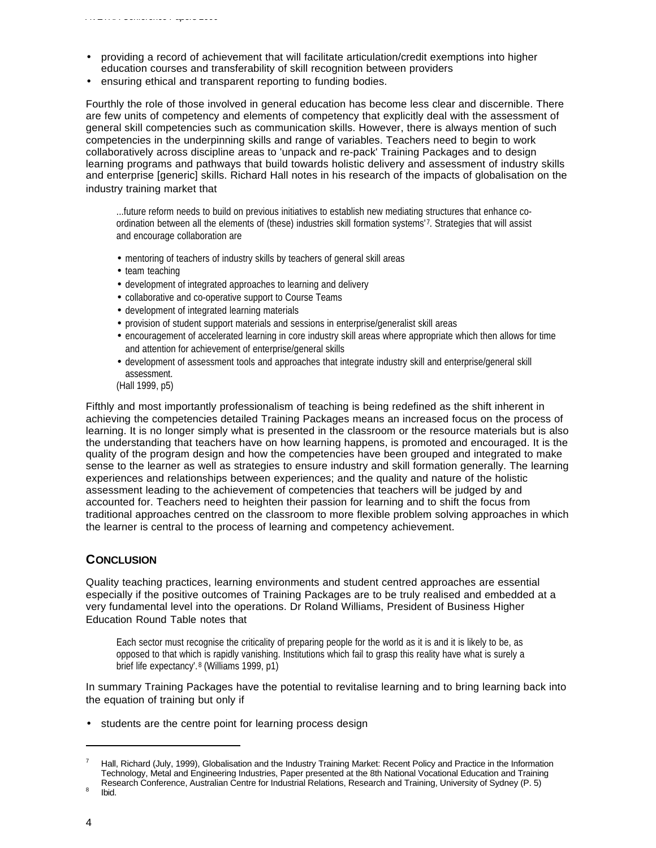- providing a record of achievement that will facilitate articulation/credit exemptions into higher education courses and transferability of skill recognition between providers
- ensuring ethical and transparent reporting to funding bodies.

Fourthly the role of those involved in general education has become less clear and discernible. There are few units of competency and elements of competency that explicitly deal with the assessment of general skill competencies such as communication skills. However, there is always mention of such competencies in the underpinning skills and range of variables. Teachers need to begin to work collaboratively across discipline areas to 'unpack and re-pack' Training Packages and to design learning programs and pathways that build towards holistic delivery and assessment of industry skills and enterprise [generic] skills. Richard Hall notes in his research of the impacts of globalisation on the industry training market that

...future reform needs to build on previous initiatives to establish new mediating structures that enhance coordination between all the elements of (these) industries skill formation systems'7. Strategies that will assist and encourage collaboration are

- mentoring of teachers of industry skills by teachers of general skill areas
- team teaching
- development of integrated approaches to learning and delivery
- collaborative and co-operative support to Course Teams
- development of integrated learning materials
- provision of student support materials and sessions in enterprise/generalist skill areas
- encouragement of accelerated learning in core industry skill areas where appropriate which then allows for time and attention for achievement of enterprise/general skills
- development of assessment tools and approaches that integrate industry skill and enterprise/general skill assessment.
- (Hall 1999, p5)

Fifthly and most importantly professionalism of teaching is being redefined as the shift inherent in achieving the competencies detailed Training Packages means an increased focus on the process of learning. It is no longer simply what is presented in the classroom or the resource materials but is also the understanding that teachers have on how learning happens, is promoted and encouraged. It is the quality of the program design and how the competencies have been grouped and integrated to make sense to the learner as well as strategies to ensure industry and skill formation generally. The learning experiences and relationships between experiences; and the quality and nature of the holistic assessment leading to the achievement of competencies that teachers will be judged by and accounted for. Teachers need to heighten their passion for learning and to shift the focus from traditional approaches centred on the classroom to more flexible problem solving approaches in which the learner is central to the process of learning and competency achievement.

#### **CONCLUSION**

Quality teaching practices, learning environments and student centred approaches are essential especially if the positive outcomes of Training Packages are to be truly realised and embedded at a very fundamental level into the operations. Dr Roland Williams, President of Business Higher Education Round Table notes that

Each sector must recognise the criticality of preparing people for the world as it is and it is likely to be, as opposed to that which is rapidly vanishing. Institutions which fail to grasp this reality have what is surely a brief life expectancy'. <sup>8</sup> (Williams 1999, p1)

In summary Training Packages have the potential to revitalise learning and to bring learning back into the equation of training but only if

• students are the centre point for learning process design

Hall, Richard (July, 1999), Globalisation and the Industry Training Market: Recent Policy and Practice in the Information Technology, Metal and Engineering Industries, Paper presented at the 8th National Vocational Education and Training Research Conference, Australian Centre for Industrial Relations, Research and Training, University of Sydney (P. 5)

<sup>8</sup> Ibid.